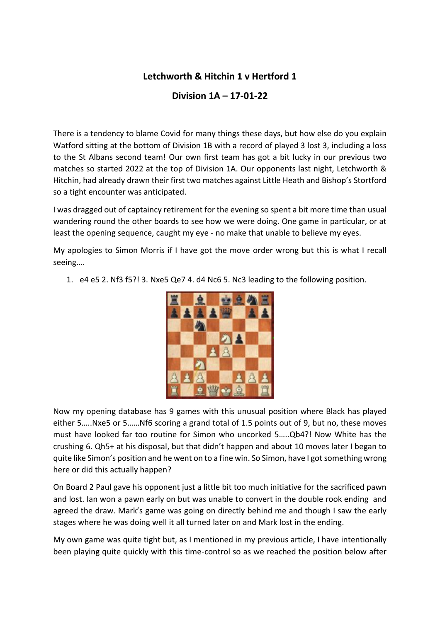## **Letchworth & Hitchin 1 v Hertford 1**

**Division 1A – 17-01-22**

There is a tendency to blame Covid for many things these days, but how else do you explain Watford sitting at the bottom of Division 1B with a record of played 3 lost 3, including a loss to the St Albans second team! Our own first team has got a bit lucky in our previous two matches so started 2022 at the top of Division 1A. Our opponents last night, Letchworth & Hitchin, had already drawn their first two matches against Little Heath and Bishop's Stortford so a tight encounter was anticipated.

I was dragged out of captaincy retirement for the evening so spent a bit more time than usual wandering round the other boards to see how we were doing. One game in particular, or at least the opening sequence, caught my eye - no make that unable to believe my eyes.

My apologies to Simon Morris if I have got the move order wrong but this is what I recall seeing….

1. e4 e5 2. Nf3 f5?! 3. Nxe5 Qe7 4. d4 Nc6 5. Nc3 leading to the following position.



Now my opening database has 9 games with this unusual position where Black has played either 5…..Nxe5 or 5……Nf6 scoring a grand total of 1.5 points out of 9, but no, these moves must have looked far too routine for Simon who uncorked 5…..Qb4?! Now White has the crushing 6. Qh5+ at his disposal, but that didn't happen and about 10 moves later I began to quite like Simon's position and he went on to a fine win. So Simon, have I got something wrong here or did this actually happen?

On Board 2 Paul gave his opponent just a little bit too much initiative for the sacrificed pawn and lost. Ian won a pawn early on but was unable to convert in the double rook ending and agreed the draw. Mark's game was going on directly behind me and though I saw the early stages where he was doing well it all turned later on and Mark lost in the ending.

My own game was quite tight but, as I mentioned in my previous article, I have intentionally been playing quite quickly with this time-control so as we reached the position below after